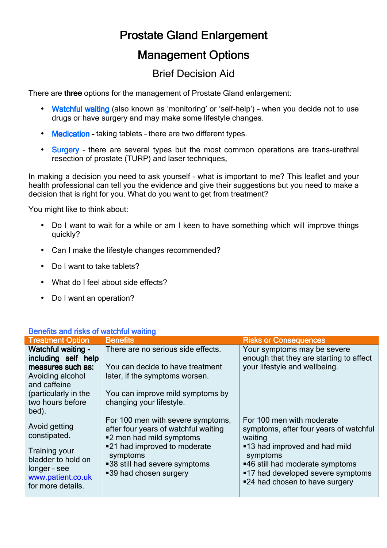# Prostate Gland Enlargement

## **Management Options**

### Brief Decision Aid

There are three options for the management of Prostate Gland enlargement:

- Watchful waiting (also known as 'monitoring' or 'self-help') when you decide not to use drugs or have surgery and may make some lifestyle changes.
- Medication taking tablets there are two different types.
- **Surgery** there are several types but the most common operations are trans-urethral resection of prostate (TURP) and laser techniques.

In making a decision you need to ask yourself – what is important to me? This leaflet and your health professional can tell you the evidence and give their suggestions but you need to make a decision that is right for you. What do you want to get from treatment?

You might like to think about:

- Do I want to wait for a while or am I keen to have something which will improve things quickly?
- Can I make the lifestyle changes recommended?
- Do I want to take tablets?
- What do I feel about side effects?
- Do I want an operation?

### Benefits and risks of watchful waiting

| <b>Treatment Option</b>                                                                              | <b>Benefits</b>                                                                                       | <b>Risks or Consequences</b>                                                                                                                        |
|------------------------------------------------------------------------------------------------------|-------------------------------------------------------------------------------------------------------|-----------------------------------------------------------------------------------------------------------------------------------------------------|
| <b>Watchful waiting -</b><br>including self help                                                     | There are no serious side effects.                                                                    | Your symptoms may be severe<br>enough that they are starting to affect                                                                              |
| measures such as:<br>Avoiding alcohol                                                                | You can decide to have treatment<br>later, if the symptoms worsen.                                    | your lifestyle and wellbeing.                                                                                                                       |
| and caffeine<br>(particularly in the<br>two hours before<br>bed).                                    | You can improve mild symptoms by<br>changing your lifestyle.                                          |                                                                                                                                                     |
| Avoid getting<br>constipated.                                                                        | For 100 men with severe symptoms,<br>after four years of watchful waiting<br>■2 men had mild symptoms | For 100 men with moderate<br>symptoms, after four years of watchful<br>waiting                                                                      |
| <b>Training your</b><br>bladder to hold on<br>longer - see<br>www.patient.co.uk<br>for more details. | ■21 had improved to moderate<br>symptoms<br>■38 still had severe symptoms<br>■39 had chosen surgery   | ■13 had improved and had mild<br>symptoms<br>■46 still had moderate symptoms<br>■17 had developed severe symptoms<br>■24 had chosen to have surgery |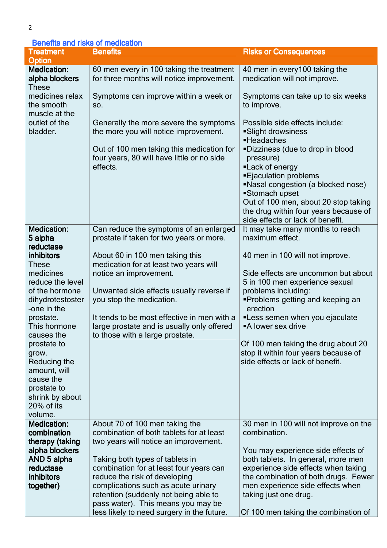### Benefits and risks of medication

| <b>Treatment</b>                                                                     | ויטווטיווט מווע ווסוש טו וווטמוטמוטו<br><b>Benefits</b>                                                                                                                                | <b>Risks or Consequences</b>                                                                                                                                                                                                                                                                                                                      |
|--------------------------------------------------------------------------------------|----------------------------------------------------------------------------------------------------------------------------------------------------------------------------------------|---------------------------------------------------------------------------------------------------------------------------------------------------------------------------------------------------------------------------------------------------------------------------------------------------------------------------------------------------|
| <b>Option</b>                                                                        |                                                                                                                                                                                        |                                                                                                                                                                                                                                                                                                                                                   |
| <b>Medication:</b><br>alpha blockers<br><b>These</b>                                 | 60 men every in 100 taking the treatment<br>for three months will notice improvement.                                                                                                  | 40 men in every 100 taking the<br>medication will not improve.                                                                                                                                                                                                                                                                                    |
| medicines relax<br>the smooth                                                        | Symptoms can improve within a week or<br>SO.                                                                                                                                           | Symptoms can take up to six weeks<br>to improve.                                                                                                                                                                                                                                                                                                  |
| muscle at the<br>outlet of the<br>bladder.                                           | Generally the more severe the symptoms<br>the more you will notice improvement.<br>Out of 100 men taking this medication for<br>four years, 80 will have little or no side<br>effects. | Possible side effects include:<br>Slight drowsiness<br>·Headaches<br>"Dizziness (due to drop in blood<br>pressure)<br>"Lack of energy<br><b>Ejaculation problems</b><br>"Nasal congestion (a blocked nose)<br>■Stomach upset<br>Out of 100 men, about 20 stop taking<br>the drug within four years because of<br>side effects or lack of benefit. |
| <b>Medication:</b><br>5 alpha<br>reductase                                           | Can reduce the symptoms of an enlarged<br>prostate if taken for two years or more.                                                                                                     | It may take many months to reach<br>maximum effect.                                                                                                                                                                                                                                                                                               |
| <b>inhibitors</b><br><b>These</b>                                                    | About 60 in 100 men taking this<br>medication for at least two years will                                                                                                              | 40 men in 100 will not improve.                                                                                                                                                                                                                                                                                                                   |
| medicines<br>reduce the level<br>of the hormone                                      | notice an improvement.<br>Unwanted side effects usually reverse if                                                                                                                     | Side effects are uncommon but about<br>5 in 100 men experience sexual<br>problems including:                                                                                                                                                                                                                                                      |
| dihydrotestoster<br>-one in the                                                      | you stop the medication.                                                                                                                                                               | ■Problems getting and keeping an<br>erection                                                                                                                                                                                                                                                                                                      |
| prostate.<br>This hormone<br>causes the                                              | It tends to be most effective in men with a<br>large prostate and is usually only offered<br>to those with a large prostate.                                                           | "Less semen when you ejaculate<br>■A lower sex drive                                                                                                                                                                                                                                                                                              |
| prostate to<br>grow.<br>Reducing the                                                 |                                                                                                                                                                                        | Of 100 men taking the drug about 20<br>stop it within four years because of<br>side effects or lack of benefit.                                                                                                                                                                                                                                   |
| amount, will<br>cause the<br>prostate to<br>shrink by about<br>20% of its<br>volume. |                                                                                                                                                                                        |                                                                                                                                                                                                                                                                                                                                                   |
| <b>Medication:</b><br>combination                                                    | About 70 of 100 men taking the<br>combination of both tablets for at least                                                                                                             | 30 men in 100 will not improve on the<br>combination.                                                                                                                                                                                                                                                                                             |
| therapy (taking<br>alpha blockers                                                    | two years will notice an improvement.                                                                                                                                                  | You may experience side effects of                                                                                                                                                                                                                                                                                                                |
| AND 5 alpha                                                                          | Taking both types of tablets in                                                                                                                                                        | both tablets. In general, more men                                                                                                                                                                                                                                                                                                                |
| reductase<br><b>inhibitors</b>                                                       | combination for at least four years can<br>reduce the risk of developing                                                                                                               | experience side effects when taking<br>the combination of both drugs. Fewer                                                                                                                                                                                                                                                                       |
| together)                                                                            | complications such as acute urinary<br>retention (suddenly not being able to                                                                                                           | men experience side effects when<br>taking just one drug.                                                                                                                                                                                                                                                                                         |
|                                                                                      | pass water). This means you may be<br>less likely to need surgery in the future.                                                                                                       | Of 100 men taking the combination of                                                                                                                                                                                                                                                                                                              |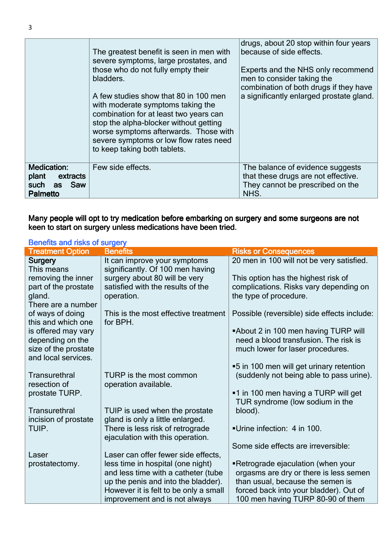|                                                                                        | The greatest benefit is seen in men with<br>severe symptoms, large prostates, and<br>those who do not fully empty their<br>bladders.<br>A few studies show that 80 in 100 men<br>with moderate symptoms taking the<br>combination for at least two years can<br>stop the alpha-blocker without getting<br>worse symptoms afterwards. Those with<br>severe symptoms or low flow rates need<br>to keep taking both tablets. | drugs, about 20 stop within four years<br>because of side effects.<br>Experts and the NHS only recommend<br>men to consider taking the<br>combination of both drugs if they have<br>a significantly enlarged prostate gland. |
|----------------------------------------------------------------------------------------|---------------------------------------------------------------------------------------------------------------------------------------------------------------------------------------------------------------------------------------------------------------------------------------------------------------------------------------------------------------------------------------------------------------------------|------------------------------------------------------------------------------------------------------------------------------------------------------------------------------------------------------------------------------|
| <b>Medication:</b><br>plant<br>extracts<br>Saw<br>such<br><b>as</b><br><b>Palmetto</b> | Few side effects.                                                                                                                                                                                                                                                                                                                                                                                                         | The balance of evidence suggests<br>that these drugs are not effective.<br>They cannot be prescribed on the<br>NHS.                                                                                                          |

Many people will opt to try medication before embarking on surgery and some surgeons are not keen to start on surgery unless medications have been tried.

| <b>Benefits and risks of surgery</b>                            |                                                                          |                                                                                                                   |
|-----------------------------------------------------------------|--------------------------------------------------------------------------|-------------------------------------------------------------------------------------------------------------------|
| <b>Treatment Option</b>                                         | <b>Benefits</b>                                                          | <b>Risks or Consequences</b>                                                                                      |
| <b>Surgery</b><br>This means                                    | It can improve your symptoms<br>significantly. Of 100 men having         | 20 men in 100 will not be very satisfied.                                                                         |
| removing the inner                                              | surgery about 80 will be very                                            | This option has the highest risk of                                                                               |
| part of the prostate<br>gland.                                  | satisfied with the results of the<br>operation.                          | complications. Risks vary depending on<br>the type of procedure.                                                  |
| There are a number                                              | This is the most effective treatment                                     |                                                                                                                   |
| of ways of doing<br>this and which one                          | for BPH.                                                                 | Possible (reversible) side effects include:                                                                       |
| is offered may vary<br>depending on the<br>size of the prostate |                                                                          | "About 2 in 100 men having TURP will<br>need a blood transfusion. The risk is<br>much lower for laser procedures. |
| and local services.                                             |                                                                          | ■5 in 100 men will get urinary retention                                                                          |
| Transurethral<br>resection of                                   | TURP is the most common<br>operation available.                          | (suddenly not being able to pass urine).                                                                          |
| prostate TURP.                                                  |                                                                          | ■1 in 100 men having a TURP will get<br>TUR syndrome (low sodium in the                                           |
| Transurethral<br>incision of prostate                           | TUIP is used when the prostate<br>gland is only a little enlarged.       | blood).                                                                                                           |
| TUIP.                                                           | There is less risk of retrograde<br>ejaculation with this operation.     | Urine infection: 4 in 100.                                                                                        |
|                                                                 |                                                                          | Some side effects are irreversible:                                                                               |
| Laser                                                           | Laser can offer fewer side effects,                                      |                                                                                                                   |
| prostatectomy.                                                  | less time in hospital (one night)<br>and less time with a catheter (tube | Retrograde ejaculation (when your<br>orgasms are dry or there is less semen                                       |
|                                                                 | up the penis and into the bladder).                                      | than usual, because the semen is                                                                                  |
|                                                                 | However it is felt to be only a small                                    | forced back into your bladder). Out of                                                                            |
|                                                                 | improvement and is not always                                            | 100 men having TURP 80-90 of them                                                                                 |